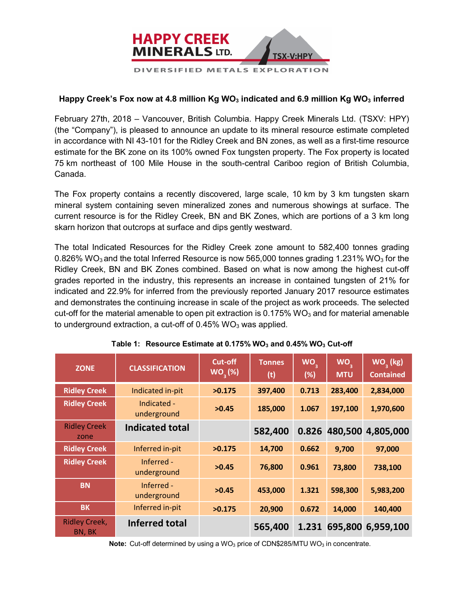

## Happy Creek's Fox now at 4.8 million Kg WO<sub>3</sub> indicated and 6.9 million Kg WO<sub>3</sub> inferred

February 27th, 2018 – Vancouver, British Columbia. Happy Creek Minerals Ltd. (TSXV: HPY) (the "Company"), is pleased to announce an update to its mineral resource estimate completed in accordance with NI 43-101 for the Ridley Creek and BN zones, as well as a first-time resource estimate for the BK zone on its 100% owned Fox tungsten property. The Fox property is located 75 km northeast of 100 Mile House in the south-central Cariboo region of British Columbia, Canada.

The Fox property contains a recently discovered, large scale, 10 km by 3 km tungsten skarn mineral system containing seven mineralized zones and numerous showings at surface. The current resource is for the Ridley Creek, BN and BK Zones, which are portions of a 3 km long skarn horizon that outcrops at surface and dips gently westward.

The total Indicated Resources for the Ridley Creek zone amount to 582,400 tonnes grading 0.826% WO<sub>3</sub> and the total Inferred Resource is now 565,000 tonnes grading 1.231% WO<sub>3</sub> for the Ridley Creek, BN and BK Zones combined. Based on what is now among the highest cut-off grades reported in the industry, this represents an increase in contained tungsten of 21% for indicated and 22.9% for inferred from the previously reported January 2017 resource estimates and demonstrates the continuing increase in scale of the project as work proceeds. The selected cut-off for the material amenable to open pit extraction is  $0.175\%$  WO<sub>3</sub> and for material amenable to underground extraction, a cut-off of  $0.45\%$  WO<sub>3</sub> was applied.

| <b>ZONE</b>                    | <b>CLASSIFICATION</b>      | Cut-off<br>WO <sub>3</sub> (%) | <b>Tonnes</b><br>(t) | WO <sub>3</sub><br>(%) | WO <sub>2</sub><br><b>MTU</b> | WO <sub>2</sub> (kg)<br><b>Contained</b> |
|--------------------------------|----------------------------|--------------------------------|----------------------|------------------------|-------------------------------|------------------------------------------|
| <b>Ridley Creek</b>            | Indicated in-pit           | >0.175                         | 397,400              | 0.713                  | 283,400                       | 2,834,000                                |
| <b>Ridley Creek</b>            | Indicated -<br>underground | >0.45                          | 185,000              | 1.067                  | 197,100                       | 1,970,600                                |
| <b>Ridley Creek</b><br>zone    | <b>Indicated total</b>     |                                | 582,400              | 0.826                  |                               | 480,500 4,805,000                        |
| <b>Ridley Creek</b>            | Inferred in-pit            | >0.175                         | 14,700               | 0.662                  | 9,700                         | 97,000                                   |
| <b>Ridley Creek</b>            | Inferred -<br>underground  | >0.45                          | 76,800               | 0.961                  | 73,800                        | 738,100                                  |
| <b>BN</b>                      | Inferred -<br>underground  | >0.45                          | 453,000              | 1.321                  | 598,300                       | 5,983,200                                |
| <b>BK</b>                      | Inferred in-pit            | >0.175                         | 20,900               | 0.672                  | 14,000                        | 140,400                                  |
| <b>Ridley Creek,</b><br>BN, BK | <b>Inferred total</b>      |                                | 565,400              |                        |                               | 1.231 695,800 6,959,100                  |

**Table 1: Resource Estimate at 0.175% WO<sub>3</sub> and 0.45% WO<sub>3</sub> Cut-off** 

**Note:** Cut-off determined by using a WO<sub>3</sub> price of CDN\$285/MTU WO<sub>3</sub> in concentrate.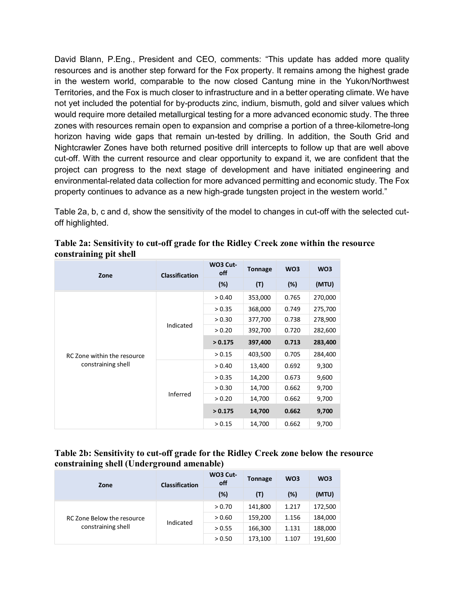David Blann, P.Eng., President and CEO, comments: "This update has added more quality resources and is another step forward for the Fox property. It remains among the highest grade in the western world, comparable to the now closed Cantung mine in the Yukon/Northwest Territories, and the Fox is much closer to infrastructure and in a better operating climate. We have not yet included the potential for by-products zinc, indium, bismuth, gold and silver values which would require more detailed metallurgical testing for a more advanced economic study. The three zones with resources remain open to expansion and comprise a portion of a three-kilometre-long horizon having wide gaps that remain un-tested by drilling. In addition, the South Grid and Nightcrawler Zones have both returned positive drill intercepts to follow up that are well above cut-off. With the current resource and clear opportunity to expand it, we are confident that the project can progress to the next stage of development and have initiated engineering and environmental-related data collection for more advanced permitting and economic study. The Fox property continues to advance as a new high-grade tungsten project in the western world."

Table 2a, b, c and d, show the sensitivity of the model to changes in cut-off with the selected cutoff highlighted.

| Zone                        | <b>Classification</b> | WO3 Cut-<br>off | <b>Tonnage</b> | WO <sub>3</sub> | WO <sub>3</sub> |
|-----------------------------|-----------------------|-----------------|----------------|-----------------|-----------------|
|                             |                       | (%)             | (T)            | (%)             | (MTU)           |
|                             |                       | > 0.40          | 353,000        | 0.765           | 270,000         |
|                             |                       | > 0.35          | 368,000        | 0.749           | 275,700         |
|                             | Indicated             | > 0.30          | 377,700        | 0.738           | 278,900         |
|                             |                       | > 0.20          | 392,700        | 0.720           | 282,600         |
|                             |                       | > 0.175         | 397,400        | 0.713           | 283,400         |
| RC Zone within the resource |                       | > 0.15          | 403,500        | 0.705           | 284,400         |
| constraining shell          |                       | > 0.40          | 13,400         | 0.692           | 9,300           |
|                             |                       | > 0.35          | 14,200         | 0.673           | 9,600           |
|                             |                       | > 0.30          | 14,700         | 0.662           | 9,700           |
|                             | Inferred              | > 0.20          | 14,700         | 0.662           | 9,700           |
|                             |                       | > 0.175         | 14,700         | 0.662           | 9,700           |
|                             |                       | > 0.15          | 14,700         | 0.662           | 9,700           |

**Table 2a: Sensitivity to cut-off grade for the Ridley Creek zone within the resource constraining pit shell** 

# **Table 2b: Sensitivity to cut-off grade for the Ridley Creek zone below the resource constraining shell (Underground amenable)**

| Zone                                             | <b>Classification</b> | WO3 Cut-<br>off | <b>Tonnage</b> | WO <sub>3</sub> | WO <sub>3</sub> |
|--------------------------------------------------|-----------------------|-----------------|----------------|-----------------|-----------------|
|                                                  |                       | (%)             | (T)            | (%)             | (MTU)           |
| RC Zone Below the resource<br>constraining shell | Indicated             | > 0.70          | 141,800        | 1.217           | 172,500         |
|                                                  |                       | > 0.60          | 159,200        | 1.156           | 184,000         |
|                                                  |                       | > 0.55          | 166,300        | 1.131           | 188,000         |
|                                                  |                       | > 0.50          | 173,100        | 1.107           | 191,600         |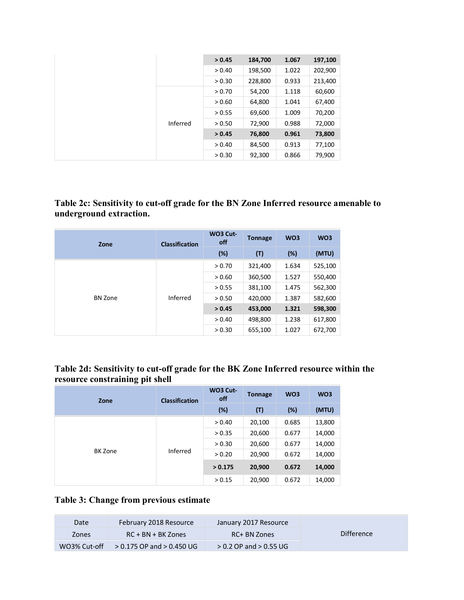|  |          | > 0.45 | 184,700 | 1.067 | 197,100 |
|--|----------|--------|---------|-------|---------|
|  |          | > 0.40 | 198,500 | 1.022 | 202,900 |
|  |          | > 0.30 | 228,800 | 0.933 | 213,400 |
|  |          | > 0.70 | 54,200  | 1.118 | 60,600  |
|  | Inferred | > 0.60 | 64,800  | 1.041 | 67,400  |
|  |          | > 0.55 | 69,600  | 1.009 | 70,200  |
|  |          | > 0.50 | 72,900  | 0.988 | 72,000  |
|  |          | > 0.45 | 76,800  | 0.961 | 73,800  |
|  |          | > 0.40 | 84,500  | 0.913 | 77,100  |
|  |          | > 0.30 | 92,300  | 0.866 | 79,900  |

**Table 2c: Sensitivity to cut-off grade for the BN Zone Inferred resource amenable to underground extraction.**

| Zone           | <b>Classification</b> | WO3 Cut-<br>off | <b>Tonnage</b> | WO <sub>3</sub> | WO <sub>3</sub> |
|----------------|-----------------------|-----------------|----------------|-----------------|-----------------|
|                |                       | (%)             | (T)            | (%)             | (MTU)           |
| <b>BN Zone</b> | Inferred              | > 0.70          | 321,400        | 1.634           | 525,100         |
|                |                       | > 0.60          | 360,500        | 1.527           | 550,400         |
|                |                       | > 0.55          | 381,100        | 1.475           | 562,300         |
|                |                       | > 0.50          | 420,000        | 1.387           | 582,600         |
|                |                       | > 0.45          | 453,000        | 1.321           | 598,300         |
|                |                       | > 0.40          | 498,800        | 1.238           | 617,800         |
|                |                       | > 0.30          | 655,100        | 1.027           | 672,700         |

| Table 2d: Sensitivity to cut-off grade for the BK Zone Inferred resource within the |  |  |
|-------------------------------------------------------------------------------------|--|--|
| resource constraining pit shell                                                     |  |  |

| Zone           | <b>Classification</b> | WO3 Cut-<br>off | <b>Tonnage</b> | WO <sub>3</sub> | WO <sub>3</sub> |
|----------------|-----------------------|-----------------|----------------|-----------------|-----------------|
|                |                       | (%)             | (T)            | $(\%)$          | (MTU)           |
| <b>BK Zone</b> | Inferred              | > 0.40          | 20,100         | 0.685           | 13,800          |
|                |                       | > 0.35          | 20,600         | 0.677           | 14,000          |
|                |                       | > 0.30          | 20,600         | 0.677           | 14,000          |
|                |                       | > 0.20          | 20,900         | 0.672           | 14,000          |
|                |                       | > 0.175         | 20,900         | 0.672           | 14,000          |
|                |                       | > 0.15          | 20,900         | 0.672           | 14,000          |

# **Table 3: Change from previous estimate**

| Date         | February 2018 Resource        | January 2017 Resource      |                   |
|--------------|-------------------------------|----------------------------|-------------------|
| <b>Zones</b> | $RC + BN + BK Zones$          | RC+ BN Zones               | <b>Difference</b> |
| WO3% Cut-off | $> 0.175$ OP and $> 0.450$ UG | $> 0.2$ OP and $> 0.55$ UG |                   |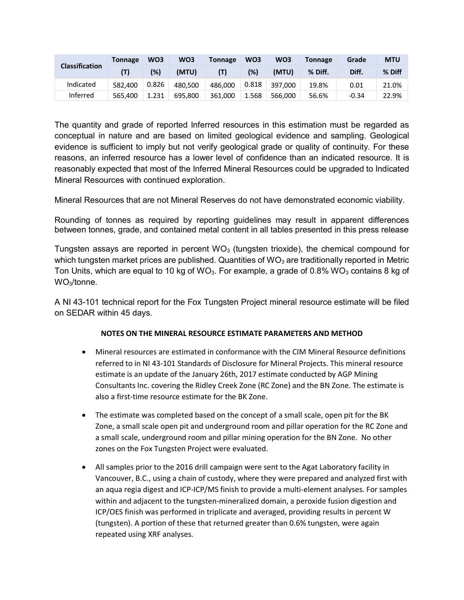|                | Tonnage | WO <sub>3</sub> | WO3     | <b>Tonnage</b> | WO3   | WO <sub>3</sub> | <b>Tonnage</b> | Grade   | <b>MTU</b> |
|----------------|---------|-----------------|---------|----------------|-------|-----------------|----------------|---------|------------|
| Classification |         | (%)             | (MTU)   | (T)            | (%)   | (MTU)           | % Diff.        | Diff.   | % Diff     |
| Indicated      | 582.400 | 0.826           | 480.500 | 486.000        | 0.818 | 397.000         | 19.8%          | 0.01    | 21.0%      |
| Inferred       | 565.400 | 1.231           | 695.800 | 361.000        | 1.568 | 566.000         | 56.6%          | $-0.34$ | 22.9%      |

The quantity and grade of reported Inferred resources in this estimation must be regarded as conceptual in nature and are based on limited geological evidence and sampling. Geological evidence is sufficient to imply but not verify geological grade or quality of continuity. For these reasons, an inferred resource has a lower level of confidence than an indicated resource. It is reasonably expected that most of the Inferred Mineral Resources could be upgraded to Indicated Mineral Resources with continued exploration.

Mineral Resources that are not Mineral Reserves do not have demonstrated economic viability.

Rounding of tonnes as required by reporting guidelines may result in apparent differences between tonnes, grade, and contained metal content in all tables presented in this press release

Tungsten assays are reported in percent  $WO<sub>3</sub>$  (tungsten trioxide), the chemical compound for which tungsten market prices are published. Quantities of  $WO_3$  are traditionally reported in Metric Ton Units, which are equal to 10 kg of WO<sub>3</sub>. For example, a grade of 0.8% WO<sub>3</sub> contains 8 kg of WO3/tonne.

A NI 43-101 technical report for the Fox Tungsten Project mineral resource estimate will be filed on SEDAR within 45 days.

#### **NOTES ON THE MINERAL RESOURCE ESTIMATE PARAMETERS AND METHOD**

- Mineral resources are estimated in conformance with the CIM Mineral Resource definitions referred to in NI 43-101 Standards of Disclosure for Mineral Projects. This mineral resource estimate is an update of the January 26th, 2017 estimate conducted by AGP Mining Consultants Inc. covering the Ridley Creek Zone (RC Zone) and the BN Zone. The estimate is also a first-time resource estimate for the BK Zone.
- The estimate was completed based on the concept of a small scale, open pit for the BK Zone, a small scale open pit and underground room and pillar operation for the RC Zone and a small scale, underground room and pillar mining operation for the BN Zone. No other zones on the Fox Tungsten Project were evaluated.
- All samples prior to the 2016 drill campaign were sent to the Agat Laboratory facility in Vancouver, B.C., using a chain of custody, where they were prepared and analyzed first with an aqua regia digest and ICP-ICP/MS finish to provide a multi-element analyses. For samples within and adjacent to the tungsten-mineralized domain, a peroxide fusion digestion and ICP/OES finish was performed in triplicate and averaged, providing results in percent W (tungsten). A portion of these that returned greater than 0.6% tungsten, were again repeated using XRF analyses.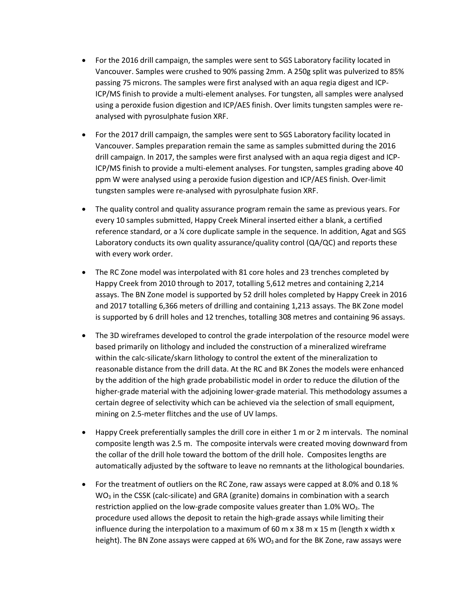- For the 2016 drill campaign, the samples were sent to SGS Laboratory facility located in Vancouver. Samples were crushed to 90% passing 2mm. A 250g split was pulverized to 85% passing 75 microns. The samples were first analysed with an aqua regia digest and ICP-ICP/MS finish to provide a multi-element analyses. For tungsten, all samples were analysed using a peroxide fusion digestion and ICP/AES finish. Over limits tungsten samples were reanalysed with pyrosulphate fusion XRF.
- For the 2017 drill campaign, the samples were sent to SGS Laboratory facility located in Vancouver. Samples preparation remain the same as samples submitted during the 2016 drill campaign. In 2017, the samples were first analysed with an aqua regia digest and ICP-ICP/MS finish to provide a multi-element analyses. For tungsten, samples grading above 40 ppm W were analysed using a peroxide fusion digestion and ICP/AES finish. Over-limit tungsten samples were re-analysed with pyrosulphate fusion XRF.
- The quality control and quality assurance program remain the same as previous years. For every 10 samples submitted, Happy Creek Mineral inserted either a blank, a certified reference standard, or a ¼ core duplicate sample in the sequence. In addition, Agat and SGS Laboratory conducts its own quality assurance/quality control (QA/QC) and reports these with every work order.
- The RC Zone model was interpolated with 81 core holes and 23 trenches completed by Happy Creek from 2010 through to 2017, totalling 5,612 metres and containing 2,214 assays. The BN Zone model is supported by 52 drill holes completed by Happy Creek in 2016 and 2017 totalling 6,366 meters of drilling and containing 1,213 assays. The BK Zone model is supported by 6 drill holes and 12 trenches, totalling 308 metres and containing 96 assays.
- The 3D wireframes developed to control the grade interpolation of the resource model were based primarily on lithology and included the construction of a mineralized wireframe within the calc-silicate/skarn lithology to control the extent of the mineralization to reasonable distance from the drill data. At the RC and BK Zones the models were enhanced by the addition of the high grade probabilistic model in order to reduce the dilution of the higher-grade material with the adjoining lower-grade material. This methodology assumes a certain degree of selectivity which can be achieved via the selection of small equipment, mining on 2.5-meter flitches and the use of UV lamps.
- Happy Creek preferentially samples the drill core in either 1 m or 2 m intervals. The nominal composite length was 2.5 m. The composite intervals were created moving downward from the collar of the drill hole toward the bottom of the drill hole. Composites lengths are automatically adjusted by the software to leave no remnants at the lithological boundaries.
- For the treatment of outliers on the RC Zone, raw assays were capped at 8.0% and 0.18 % WO<sub>3</sub> in the CSSK (calc-silicate) and GRA (granite) domains in combination with a search restriction applied on the low-grade composite values greater than  $1.0\%$  WO<sub>3</sub>. The procedure used allows the deposit to retain the high-grade assays while limiting their influence during the interpolation to a maximum of 60 m  $\times$  38 m  $\times$  15 m (length  $\times$  width  $\times$ height). The BN Zone assays were capped at  $6\%$  WO<sub>3</sub> and for the BK Zone, raw assays were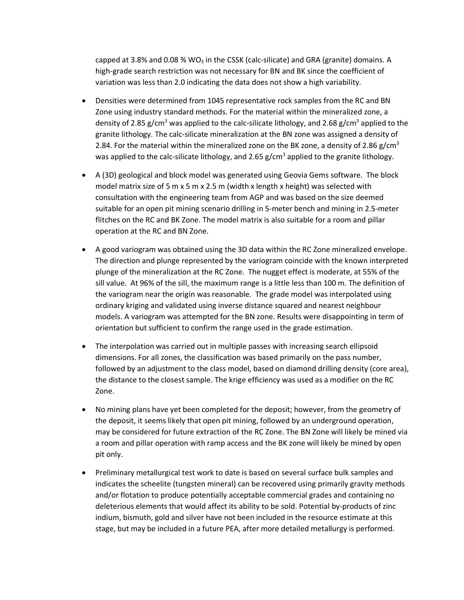capped at 3.8% and 0.08 % WO<sub>3</sub> in the CSSK (calc-silicate) and GRA (granite) domains. A high-grade search restriction was not necessary for BN and BK since the coefficient of variation was less than 2.0 indicating the data does not show a high variability.

- Densities were determined from 1045 representative rock samples from the RC and BN Zone using industry standard methods. For the material within the mineralized zone, a density of 2.85 g/cm<sup>3</sup> was applied to the calc-silicate lithology, and 2.68 g/cm<sup>3</sup> applied to the granite lithology. The calc-silicate mineralization at the BN zone was assigned a density of 2.84. For the material within the mineralized zone on the BK zone, a density of 2.86 g/cm<sup>3</sup> was applied to the calc-silicate lithology, and 2.65  $g/cm<sup>3</sup>$  applied to the granite lithology.
- A (3D) geological and block model was generated using Geovia Gems software. The block model matrix size of 5 m x 5 m x 2.5 m (width x length x height) was selected with consultation with the engineering team from AGP and was based on the size deemed suitable for an open pit mining scenario drilling in 5-meter bench and mining in 2.5-meter flitches on the RC and BK Zone. The model matrix is also suitable for a room and pillar operation at the RC and BN Zone.
- A good variogram was obtained using the 3D data within the RC Zone mineralized envelope. The direction and plunge represented by the variogram coincide with the known interpreted plunge of the mineralization at the RC Zone. The nugget effect is moderate, at 55% of the sill value. At 96% of the sill, the maximum range is a little less than 100 m. The definition of the variogram near the origin was reasonable. The grade model was interpolated using ordinary kriging and validated using inverse distance squared and nearest neighbour models. A variogram was attempted for the BN zone. Results were disappointing in term of orientation but sufficient to confirm the range used in the grade estimation.
- The interpolation was carried out in multiple passes with increasing search ellipsoid dimensions. For all zones, the classification was based primarily on the pass number, followed by an adjustment to the class model, based on diamond drilling density (core area), the distance to the closest sample. The krige efficiency was used as a modifier on the RC Zone.
- No mining plans have yet been completed for the deposit; however, from the geometry of the deposit, it seems likely that open pit mining, followed by an underground operation, may be considered for future extraction of the RC Zone. The BN Zone will likely be mined via a room and pillar operation with ramp access and the BK zone will likely be mined by open pit only.
- Preliminary metallurgical test work to date is based on several surface bulk samples and indicates the scheelite (tungsten mineral) can be recovered using primarily gravity methods and/or flotation to produce potentially acceptable commercial grades and containing no deleterious elements that would affect its ability to be sold. Potential by-products of zinc indium, bismuth, gold and silver have not been included in the resource estimate at this stage, but may be included in a future PEA, after more detailed metallurgy is performed.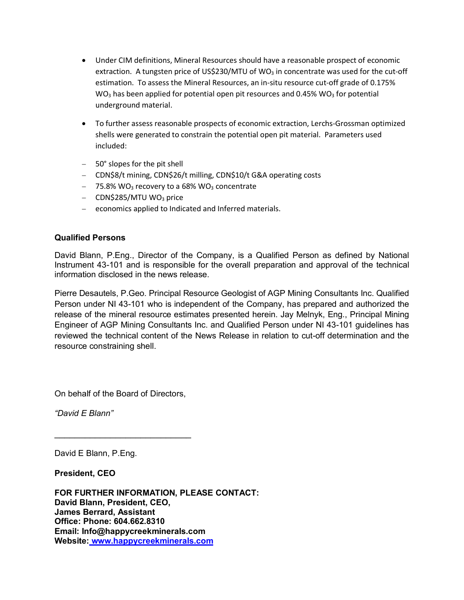- Under CIM definitions, Mineral Resources should have a reasonable prospect of economic extraction. A tungsten price of US\$230/MTU of WO<sub>3</sub> in concentrate was used for the cut-off estimation. To assess the Mineral Resources, an in-situ resource cut-off grade of 0.175% WO<sub>3</sub> has been applied for potential open pit resources and  $0.45\%$  WO<sub>3</sub> for potential underground material.
- To further assess reasonable prospects of economic extraction, Lerchs-Grossman optimized shells were generated to constrain the potential open pit material. Parameters used included:
- 50° slopes for the pit shell
- CDN\$8/t mining, CDN\$26/t milling, CDN\$10/t G&A operating costs
- $-$  75.8% WO<sub>3</sub> recovery to a 68% WO<sub>3</sub> concentrate
- $-$  CDN\$285/MTU WO<sub>3</sub> price
- economics applied to Indicated and Inferred materials.

#### **Qualified Persons**

David Blann, P.Eng., Director of the Company, is a Qualified Person as defined by National Instrument 43-101 and is responsible for the overall preparation and approval of the technical information disclosed in the news release.

Pierre Desautels, P.Geo. Principal Resource Geologist of AGP Mining Consultants Inc. Qualified Person under NI 43-101 who is independent of the Company, has prepared and authorized the release of the mineral resource estimates presented herein. Jay Melnyk, Eng., Principal Mining Engineer of AGP Mining Consultants Inc. and Qualified Person under NI 43-101 guidelines has reviewed the technical content of the News Release in relation to cut-off determination and the resource constraining shell.

On behalf of the Board of Directors,

\_\_\_\_\_\_\_\_\_\_\_\_\_\_\_\_\_\_\_\_\_\_\_\_\_\_\_

*"David E Blann"*

David E Blann, P.Eng.

**President, CEO**

**FOR FURTHER INFORMATION, PLEASE CONTACT: David Blann, President, CEO, James Berrard, Assistant Office: Phone: 604.662.8310 Email: Info@happycreekminerals.com Website: www.happycreekminerals.com**